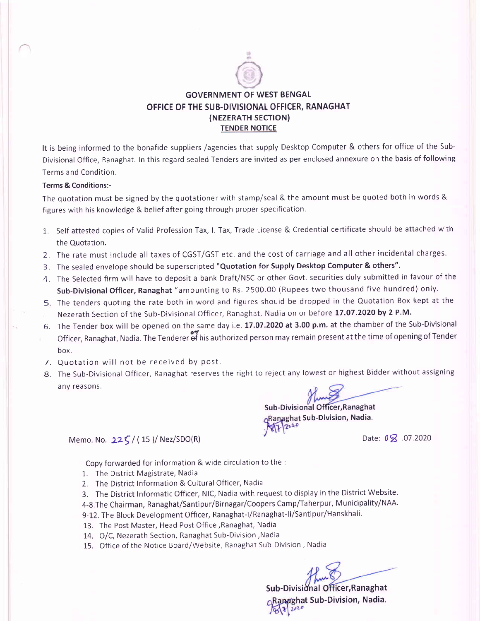

## GOVERNMENT OF WEST BENGAL OFFICE OF THE SUB.DIVISIONAL OFFICER, RANAGHAT (NEZERATH SECTION) TENDER NOTICE

It is being informed to the bonafide suppliers /agencies that supply Desktop Computer & others for office of the Sub-Divisional Office, Ranaghat. In this regard sealed Tenders are invited as per enclosed annexure on the basis of following Terms and Condition.

## Terms & Conditions:-

The quotation must be signed by the quotationer with stamp/seal & the amount must be quoted both in words & figures with his knowledge & belief after going through proper specification.

- 1,. Self attested copies of Valid Profession Tax, l. Tax, Trade License & Credential certificate should be attached with the Quotation.
- 2. The rate must include all taxes of CGST/GST etc. and the cost of carriage and all other incidental charges
- 3. The sealed envelope should be superscripted "Quotation for Supply Desktop Computer & others".
- The Selected firm will have to deposit a bank Draft/NSC or other Govt. securities duly submitted in favour of the A Sub-Divisional Officer, Ranaghat "amounting to Rs. 2500.00 (Rupees two thousand five hundred) only.
- 5. The tenders quoting the rate both in word and figures should be dropped in the Quotation Box kept at the Nezerath Section of the Sub-Divisional Officer, Ranaghat, Nadia on or before 17.07.2020 by 2 P.M.
- 6. The Tender box will be opened on the same day i.e. 17.07.2020 at 3.00 p.m. at the chamber of the Sub-Divisiona Officer, Ranaghat, Nadia.TheTenderer-ef hisauthorized person may remain presentatthetime of openingof Tender box.
- 7. Quotation will not be received by post.
- 8. The Sub-Divisional Officer, Ranaghat reserves the right to reject any lowest or highest Bidder without assigning anv reasons.

Sub-Divisional Officer, Ranaghat Ranaghat Sub-Division, Nadia.

Date:  $0 \times 07.2020$ 

Memo. No.  $22\zeta/(15)$ / Nez/SDO(R)

Copy forwarded for information & wide circulation to the :

- 1. The District Magistrate, Nadia
- 2. The District lnformation & Cultural Officer, Nadia
- 3. The District Informatic Officer, NlC, Nadia with request to display in the District Website.
- 4-8,The Chairman, Ranaghat/Santipur/Birnagar/Coopers Camp/Taherpur, Municipality/NAA.
- 9-12. The Block Development Officer, Ranaghat-l/Ranaghat-ll/Santipur/Hanskhali.
- 13. The Post Master, Head Post Office ,Ranaghat, Nadia
- L4. O/C, Nezerath Section, Ranaghat Sub-Division,Nadia
- 15. Office of the Notice Board/Website, Ranaghat Sub-Division , Nadia

Sub-Divisional Officer, Ranaghat Ranaghat Sub-Division, Nadia. 8/1/2020